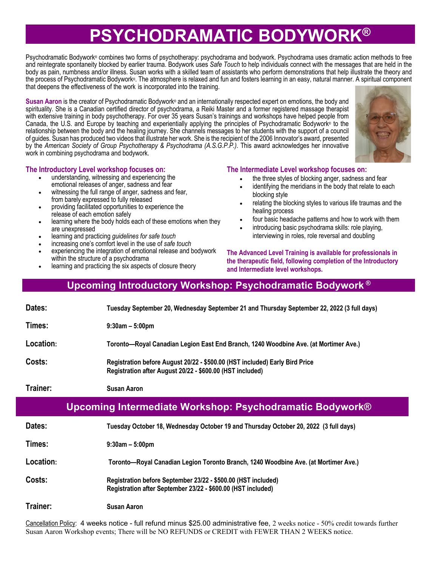# **PSYCHODRAMATIC BODYWORK®**

Psychodramatic Bodywork® combines two forms of psychotherapy: psychodrama and bodywork. Psychodrama uses dramatic action methods to free and reintegrate spontaneity blocked by earlier trauma. Bodywork uses *Safe Touch* to help individuals connect with the messages that are held in the body as pain, numbness and/or illness. Susan works with a skilled team of assistants who perform demonstrations that help illustrate the theory and the process of Psychodramatic Bodywork®. The atmosphere is relaxed and fun and fosters learning in an easy, natural manner. A spiritual component that deepens the effectiveness of the work is incorporated into the training.

Susan Aaron is the creator of Psychodramatic Bodywork<sup>®</sup> and an internationally respected expert on emotions, the body and spirituality. She is a Canadian certified director of psychodrama, a Reiki Master and a former registered massage therapist with extensive training in body psychotherapy. For over 35 years Susan's trainings and workshops have helped people from Canada, the U.S. and Europe by teaching and experientially applying the principles of Psychodramatic Bodywork® to the relationship between the body and the healing journey. She channels messages to her students with the support of a council of guides. Susan has produced two videos that illustrate her work. She is the recipient of the 2006 Innovator's award, presented by the *American Society of Group Psychotherapy & Psychodrama (A.S.G.P.P.)*. This award acknowledges her innovative work in combining psychodrama and bodywork.



#### **The Introductory Level workshop focuses on:**

- understanding, witnessing and experiencing the emotional releases of anger, sadness and fear
- witnessing the full range of anger, sadness and fear, from barely expressed to fully released
- providing facilitated opportunities to experience the release of each emotion safely
- learning where the body holds each of these emotions when they are unexpressed
- learning and practicing *guidelines for safe touch*
- increasing one's comfort level in the use of *safe touch*
- experiencing the integration of emotional release and bodywork within the structure of a psychodrama
- learning and practicing the six aspects of closure theory

**The Intermediate Level workshop focuses on:**

- the three styles of blocking anger, sadness and fear
- identifying the meridians in the body that relate to each blocking style
- relating the blocking styles to various life traumas and the healing process
- four basic headache patterns and how to work with them
- introducing basic psychodrama skills: role playing, interviewing in roles, role reversal and doubling

**The Advanced Level Training is available for professionals in the therapeutic field, following completion of the Introductory and Intermediate level workshops.** 

### **Upcoming Introductory Workshop: Psychodramatic Bodywork ®**

| Dates:                                                   | Tuesday September 20, Wednesday September 21 and Thursday September 22, 2022 (3 full days)                                               |  |  |  |
|----------------------------------------------------------|------------------------------------------------------------------------------------------------------------------------------------------|--|--|--|
| Times:                                                   | $9:30$ am $-5:00$ pm                                                                                                                     |  |  |  |
| Location:                                                | Toronto—Royal Canadian Legion East End Branch, 1240 Woodbine Ave. (at Mortimer Ave.)                                                     |  |  |  |
| Costs:                                                   | Registration before August 20/22 - \$500.00 (HST included) Early Bird Price<br>Registration after August 20/22 - \$600.00 (HST included) |  |  |  |
| Trainer:                                                 | <b>Susan Aaron</b>                                                                                                                       |  |  |  |
| Upcoming Intermediate Workshop: Psychodramatic Bodywork® |                                                                                                                                          |  |  |  |
|                                                          |                                                                                                                                          |  |  |  |
| Dates:                                                   | Tuesday October 18, Wednesday October 19 and Thursday October 20, 2022 (3 full days)                                                     |  |  |  |
| Times:                                                   | $9:30$ am $-5:00$ pm                                                                                                                     |  |  |  |
| Location:                                                | Toronto—Royal Canadian Legion Toronto Branch, 1240 Woodbine Ave. (at Mortimer Ave.)                                                      |  |  |  |
| Costs:                                                   | Registration before September 23/22 - \$500.00 (HST included)<br>Registration after September 23/22 - \$600.00 (HST included)            |  |  |  |

Cancellation Policy: 4 weeks notice - full refund minus \$25.00 administrative fee, 2 weeks notice - 50% credit towards further Susan Aaron Workshop events; There will be NO REFUNDS or CREDIT with FEWER THAN 2 WEEKS notice.